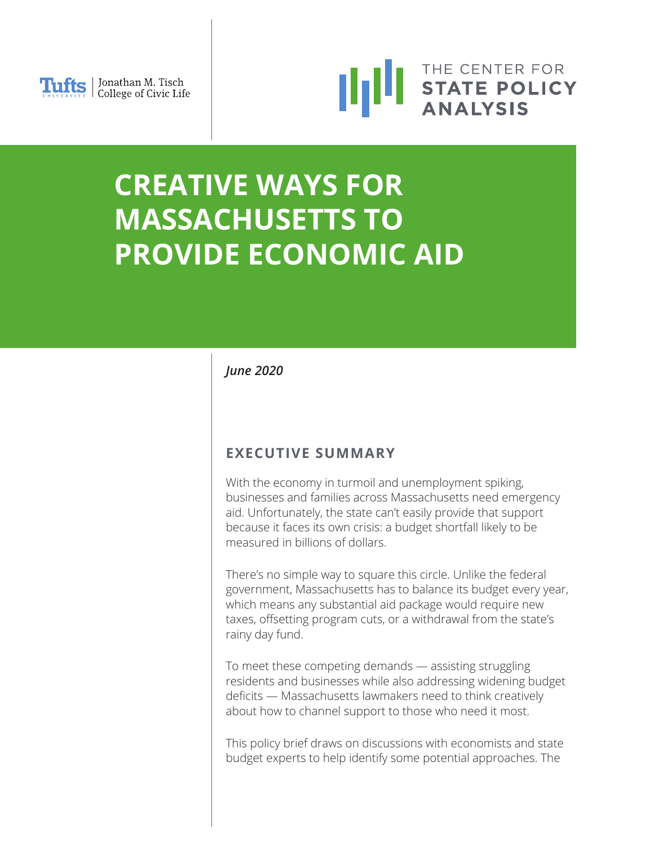



# **CREATIVE WAYS FOR MASSACHUSETTS TO PROVIDE ECONOMIC AID**

# *June 2020*

# **EXECUTIVE SUMMARY**

With the economy in turmoil and unemployment spiking, businesses and families across Massachusetts need emergency aid. Unfortunately, the state can't easily provide that support because it faces its own crisis: a budget shortfall likely to be measured in billions of dollars.

There's no simple way to square this circle. Unlike the federal government, Massachusetts has to balance its budget every year, which means any substantial aid package would require new taxes, offsetting program cuts, or a withdrawal from the state's rainy day fund.

To meet these competing demands — assisting struggling residents and businesses while also addressing widening budget deficits — Massachusetts lawmakers need to think creatively about how to channel support to those who need it most.

This policy brief draws on discussions with economists and state budget experts to help identify some potential approaches. The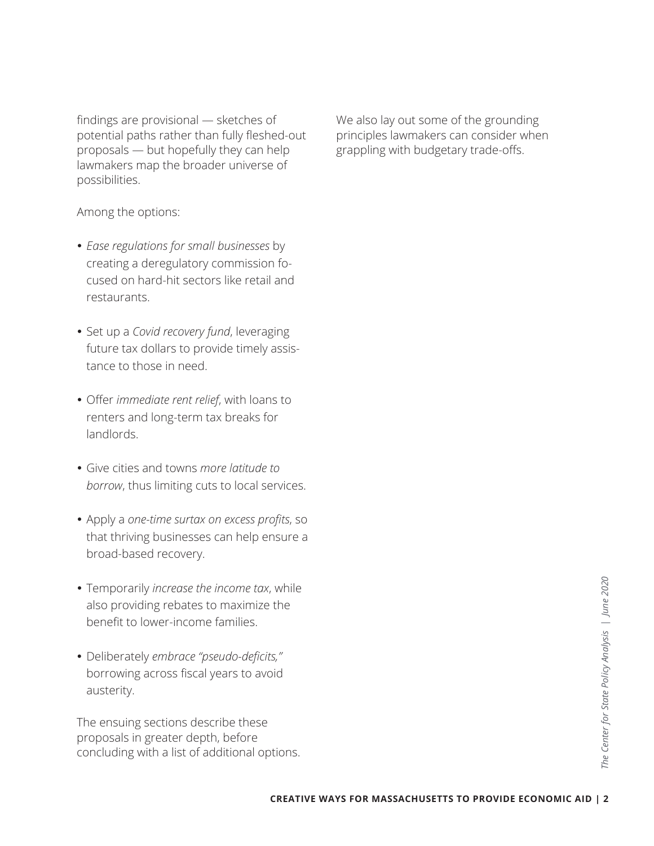findings are provisional — sketches of potential paths rather than fully fleshed-out proposals — but hopefully they can help lawmakers map the broader universe of possibilities.

Among the options:

- *Ease regulations for small businesses* by creating a deregulatory commission focused on hard-hit sectors like retail and restaurants.
- Set up a *Covid recovery fund*, leveraging future tax dollars to provide timely assistance to those in need.
- Offer *immediate rent relief*, with loans to renters and long-term tax breaks for landlords.
- Give cities and towns *more latitude to borrow*, thus limiting cuts to local services.
- Apply a *one-time surtax on excess profits*, so that thriving businesses can help ensure a broad-based recovery.
- Temporarily *increase the income tax*, while also providing rebates to maximize the benefit to lower-income families.
- Deliberately *embrace "pseudo-deficits,"* borrowing across fiscal years to avoid austerity.

The ensuing sections describe these proposals in greater depth, before concluding with a list of additional options. We also lay out some of the grounding principles lawmakers can consider when grappling with budgetary trade-offs.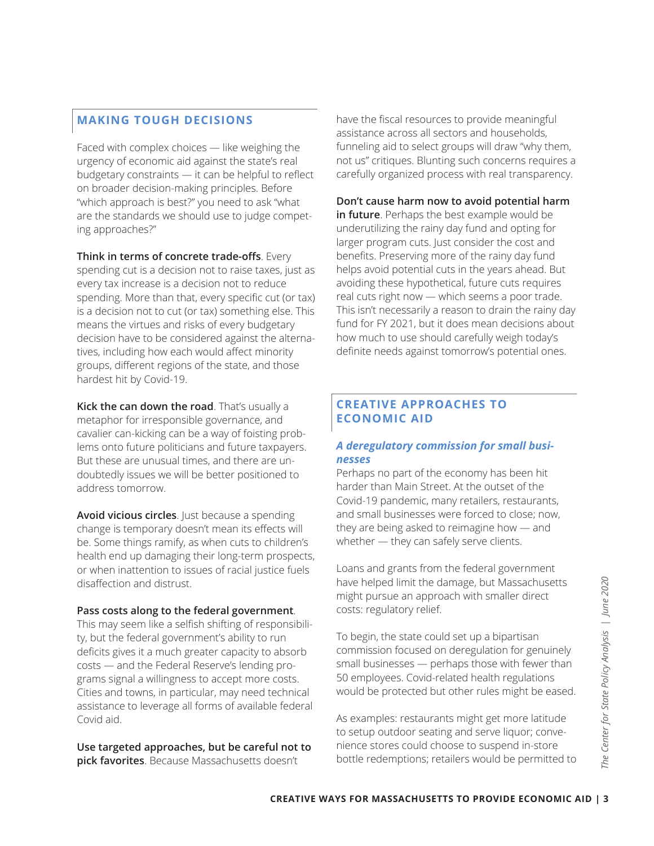### **MAKING TOUGH DECISIONS**

Faced with complex choices — like weighing the urgency of economic aid against the state's real budgetary constraints — it can be helpful to reflect on broader decision-making principles. Before "which approach is best?" you need to ask "what are the standards we should use to judge competing approaches?"

**Think in terms of concrete trade-offs**. Every spending cut is a decision not to raise taxes, just as every tax increase is a decision not to reduce spending. More than that, every specific cut (or tax) is a decision not to cut (or tax) something else. This means the virtues and risks of every budgetary decision have to be considered against the alternatives, including how each would affect minority groups, different regions of the state, and those hardest hit by Covid-19.

**Kick the can down the road**. That's usually a metaphor for irresponsible governance, and cavalier can-kicking can be a way of foisting problems onto future politicians and future taxpayers. But these are unusual times, and there are undoubtedly issues we will be better positioned to address tomorrow.

**Avoid vicious circles**. Just because a spending change is temporary doesn't mean its effects will be. Some things ramify, as when cuts to children's health end up damaging their long-term prospects, or when inattention to issues of racial justice fuels disaffection and distrust.

#### **Pass costs along to the federal government**.

This may seem like a selfish shifting of responsibility, but the federal government's ability to run deficits gives it a much greater capacity to absorb costs — and the Federal Reserve's lending programs signal a willingness to accept more costs. Cities and towns, in particular, may need technical assistance to leverage all forms of available federal Covid aid.

**Use targeted approaches, but be careful not to pick favorites**. Because Massachusetts doesn't

have the fiscal resources to provide meaningful assistance across all sectors and households, funneling aid to select groups will draw "why them, not us" critiques. Blunting such concerns requires a carefully organized process with real transparency.

#### **Don't cause harm now to avoid potential harm**

**in future**. Perhaps the best example would be underutilizing the rainy day fund and opting for larger program cuts. Just consider the cost and benefits. Preserving more of the rainy day fund helps avoid potential cuts in the years ahead. But avoiding these hypothetical, future cuts requires real cuts right now — which seems a poor trade. This isn't necessarily a reason to drain the rainy day fund for FY 2021, but it does mean decisions about how much to use should carefully weigh today's definite needs against tomorrow's potential ones.

#### **CREATIVE APPROACHES TO ECONOMIC AID**

#### *A deregulatory commission for small businesses*

Perhaps no part of the economy has been hit harder than Main Street. At the outset of the Covid-19 pandemic, many retailers, restaurants, and small businesses were forced to close; now, they are being asked to reimagine how — and whether — they can safely serve clients.

Loans and grants from the federal government have helped limit the damage, but Massachusetts might pursue an approach with smaller direct costs: regulatory relief.

have helped limit the damage, but Massachusetts<br>
might pursue an approach with smaller direct<br>
costs: regulatory relief.<br>
To begin, the state could set up a bipartisan<br>
absorb<br>
consibili-<br>
absorb commission forcused on der To begin, the state could set up a bipartisan commission focused on deregulation for genuinely small businesses — perhaps those with fewer than 50 employees. Covid-related health regulations would be protected but other rules might be eased.

As examples: restaurants might get more latitude to setup outdoor seating and serve liquor; convenience stores could choose to suspend in-store bottle redemptions; retailers would be permitted to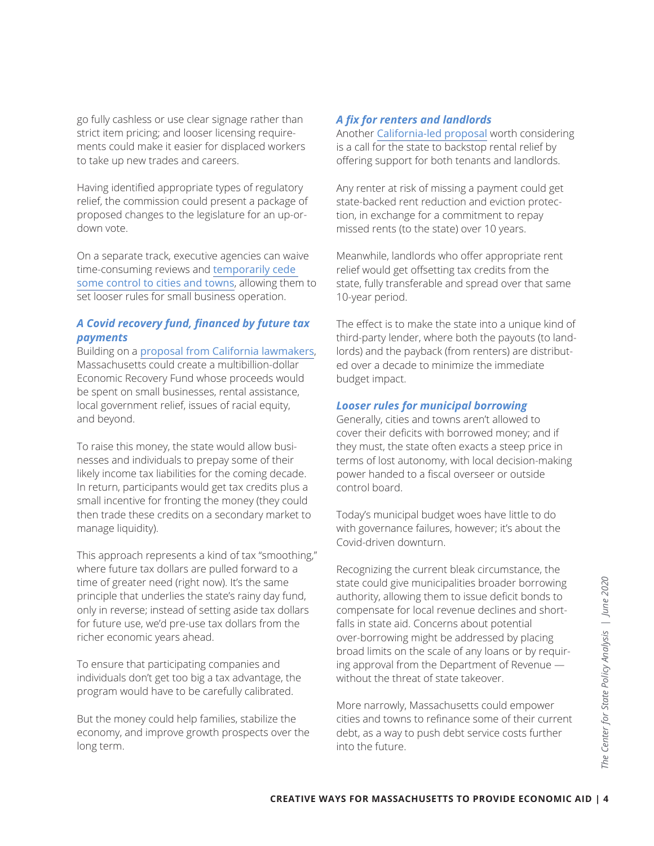go fully cashless or use clear signage rather than strict item pricing; and looser licensing requirements could make it easier for displaced workers to take up new trades and careers.

Having identified appropriate types of regulatory relief, the commission could present a package of proposed changes to the legislature for an up-ordown vote.

On a separate track, executive agencies can waive time-consuming reviews and [temporarily cede](https://www.capecodtimes.com/news/20200602/cape-cod-restaurant-owners-relieved-by-looser-restrictions)  [some control to cities and towns](https://www.capecodtimes.com/news/20200602/cape-cod-restaurant-owners-relieved-by-looser-restrictions), allowing them to set looser rules for small business operation.

#### *A Covid recovery fund, financed by future tax payments*

Building on a [proposal from California lawmakers](https://news.bloombergtax.com/daily-tax-report-state/california-senators-offer-25-billion-income-tax-prepayment-plan), Massachusetts could create a multibillion-dollar Economic Recovery Fund whose proceeds would be spent on small businesses, rental assistance, local government relief, issues of racial equity, and beyond.

To raise this money, the state would allow businesses and individuals to prepay some of their likely income tax liabilities for the coming decade. In return, participants would get tax credits plus a small incentive for fronting the money (they could then trade these credits on a secondary market to manage liquidity).

This approach represents a kind of tax "smoothing," where future tax dollars are pulled forward to a time of greater need (right now). It's the same principle that underlies the state's rainy day fund, only in reverse; instead of setting aside tax dollars for future use, we'd pre-use tax dollars from the richer economic years ahead.

To ensure that participating companies and individuals don't get too big a tax advantage, the program would have to be carefully calibrated.

But the money could help families, stabilize the economy, and improve growth prospects over the long term.

#### *A fix for renters and landlords*

Another [California-led proposal](https://www.latimes.com/california/story/2020-05-12/coronavirus-rent-relief-tax-vouchers-plan) worth considering is a call for the state to backstop rental relief by offering support for both tenants and landlords.

Any renter at risk of missing a payment could get state-backed rent reduction and eviction protection, in exchange for a commitment to repay missed rents (to the state) over 10 years.

Meanwhile, landlords who offer appropriate rent relief would get offsetting tax credits from the state, fully transferable and spread over that same 10-year period.

The effect is to make the state into a unique kind of third-party lender, where both the payouts (to landlords) and the payback (from renters) are distributed over a decade to minimize the immediate budget impact.

#### *Looser rules for municipal borrowing*

Generally, cities and towns aren't allowed to cover their deficits with borrowed money; and if they must, the state often exacts a steep price in terms of lost autonomy, with local decision-making power handed to a fiscal overseer or outside control board.

Today's municipal budget woes have little to do with governance failures, however; it's about the Covid-driven downturn.

state could give municipalities broader borrowing<br>ay fund, authority, allowing them to issue deficit bonds to<br>compensate for local revenue declines and short-<br>falls in state aid. Concerns about potential<br>over-borrowing mig Recognizing the current bleak circumstance, the state could give municipalities broader borrowing authority, allowing them to issue deficit bonds to compensate for local revenue declines and shortfalls in state aid. Concerns about potential over-borrowing might be addressed by placing broad limits on the scale of any loans or by requiring approval from the Department of Revenue without the threat of state takeover.

More narrowly, Massachusetts could empower cities and towns to refinance some of their current debt, as a way to push debt service costs further into the future.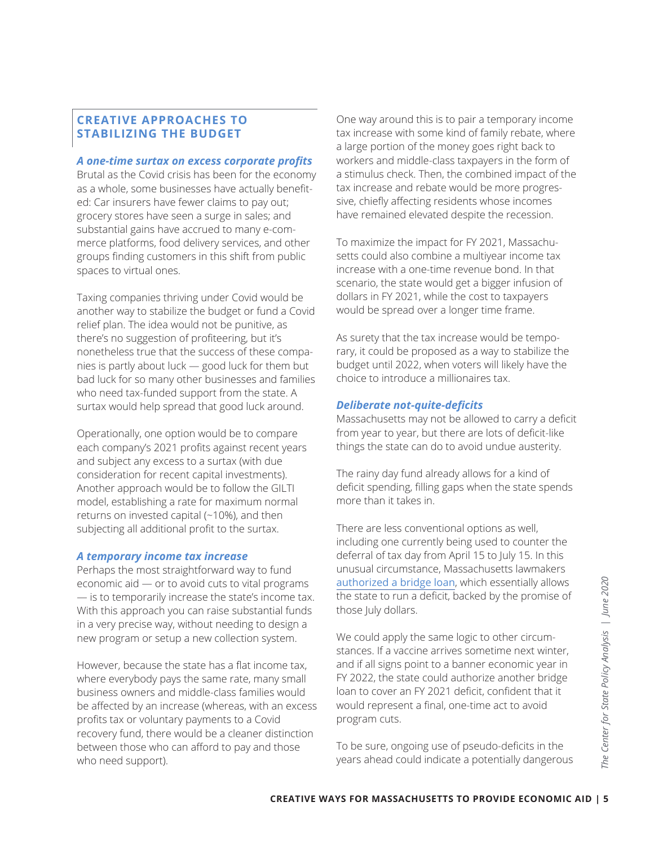#### **CREATIVE APPROACHES TO STABILIZING THE BUDGET**

#### *A one-time surtax on excess corporate profits*

Brutal as the Covid crisis has been for the economy as a whole, some businesses have actually benefited: Car insurers have fewer claims to pay out; grocery stores have seen a surge in sales; and substantial gains have accrued to many e-commerce platforms, food delivery services, and other groups finding customers in this shift from public spaces to virtual ones.

Taxing companies thriving under Covid would be another way to stabilize the budget or fund a Covid relief plan. The idea would not be punitive, as there's no suggestion of profiteering, but it's nonetheless true that the success of these companies is partly about luck — good luck for them but bad luck for so many other businesses and families who need tax-funded support from the state. A surtax would help spread that good luck around.

Operationally, one option would be to compare each company's 2021 profits against recent years and subject any excess to a surtax (with due consideration for recent capital investments). Another approach would be to follow the GILTI model, establishing a rate for maximum normal returns on invested capital (~10%), and then subjecting all additional profit to the surtax.

#### *A temporary income tax increase*

Perhaps the most straightforward way to fund economic aid — or to avoid cuts to vital programs — is to temporarily increase the state's income tax. With this approach you can raise substantial funds in a very precise way, without needing to design a new program or setup a new collection system.

However, because the state has a flat income tax, where everybody pays the same rate, many small business owners and middle-class families would be affected by an increase (whereas, with an excess profits tax or voluntary payments to a Covid recovery fund, there would be a cleaner distinction between those who can afford to pay and those who need support).

One way around this is to pair a temporary income tax increase with some kind of family rebate, where a large portion of the money goes right back to workers and middle-class taxpayers in the form of a stimulus check. Then, the combined impact of the tax increase and rebate would be more progressive, chiefly affecting residents whose incomes have remained elevated despite the recession.

To maximize the impact for FY 2021, Massachusetts could also combine a multiyear income tax increase with a one-time revenue bond. In that scenario, the state would get a bigger infusion of dollars in FY 2021, while the cost to taxpayers would be spread over a longer time frame.

As surety that the tax increase would be temporary, it could be proposed as a way to stabilize the budget until 2022, when voters will likely have the choice to introduce a millionaires tax.

#### *Deliberate not-quite-deficits*

Massachusetts may not be allowed to carry a deficit from year to year, but there are lots of deficit-like things the state can do to avoid undue austerity.

The rainy day fund already allows for a kind of deficit spending, filling gaps when the state spends more than it takes in.

There are less conventional options as well, including one currently being used to counter the deferral of tax day from April 15 to July 15. In this unusual circumstance, Massachusetts lawmakers [authorized a bridge loan](https://www.masslive.com/coronavirus/2020/05/massachusetts-short-term-borrowing-bill-during-coronavirus-pandemic-heads-to-gov-charlie-bakers-desk.html), which essentially allows the state to run a deficit, backed by the promise of those July dollars.

**CREATIVE WAYS FOR MASSACHUSETTS TO PROVIDE ECONOMIC AID | 5<br>
CREATIVE WAYS FOR MASSACHUSETS TO PROVIDE ECONOMIC AID | 5<br>
CREATIVE WAYS FOR MASSACHUSETTS TO PROVIDE ECONOMIC AID | 5<br>
CREATIVE WAYS FOR MASSACHUSETTS TO PROV** We could apply the same logic to other circumstances. If a vaccine arrives sometime next winter, and if all signs point to a banner economic year in FY 2022, the state could authorize another bridge loan to cover an FY 2021 deficit, confident that it would represent a final, one-time act to avoid program cuts.

To be sure, ongoing use of pseudo-deficits in the years ahead could indicate a potentially dangerous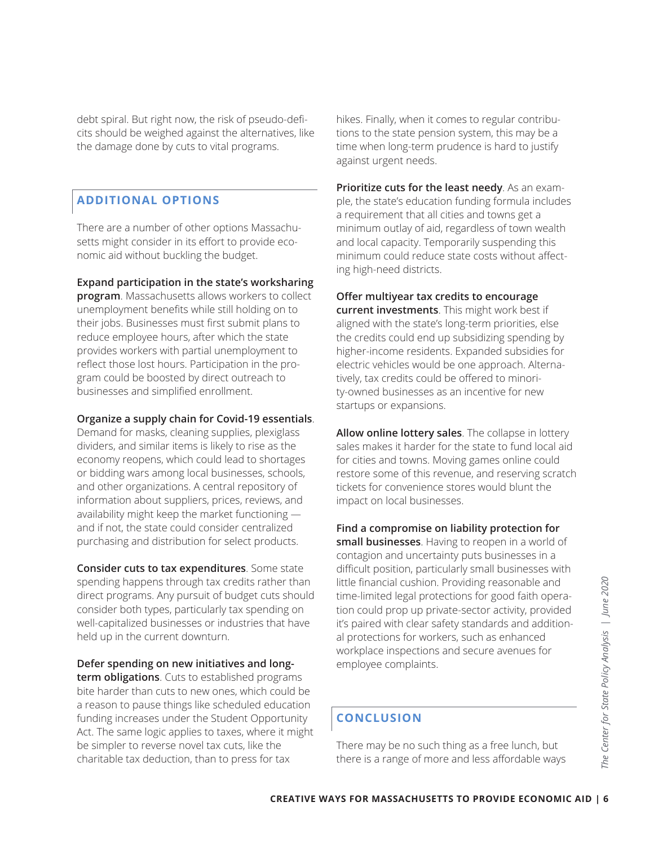debt spiral. But right now, the risk of pseudo-deficits should be weighed against the alternatives, like the damage done by cuts to vital programs.

#### **ADDITIONAL OPTIONS**

There are a number of other options Massachusetts might consider in its effort to provide economic aid without buckling the budget.

**Expand participation in the state's worksharing program**. Massachusetts allows workers to collect unemployment benefits while still holding on to their jobs. Businesses must first submit plans to reduce employee hours, after which the state provides workers with partial unemployment to reflect those lost hours. Participation in the pro-

#### **Organize a supply chain for Covid-19 essentials**.

gram could be boosted by direct outreach to

businesses and simplified enrollment.

Demand for masks, cleaning supplies, plexiglass dividers, and similar items is likely to rise as the economy reopens, which could lead to shortages or bidding wars among local businesses, schools, and other organizations. A central repository of information about suppliers, prices, reviews, and availability might keep the market functioning and if not, the state could consider centralized purchasing and distribution for select products.

**Consider cuts to tax expenditures**. Some state spending happens through tax credits rather than direct programs. Any pursuit of budget cuts should consider both types, particularly tax spending on well-capitalized businesses or industries that have held up in the current downturn.

**Defer spending on new initiatives and longterm obligations**. Cuts to established programs bite harder than cuts to new ones, which could be a reason to pause things like scheduled education funding increases under the Student Opportunity Act. The same logic applies to taxes, where it might be simpler to reverse novel tax cuts, like the charitable tax deduction, than to press for tax

hikes. Finally, when it comes to regular contributions to the state pension system, this may be a time when long-term prudence is hard to justify against urgent needs.

**Prioritize cuts for the least needy**. As an example, the state's education funding formula includes a requirement that all cities and towns get a minimum outlay of aid, regardless of town wealth and local capacity. Temporarily suspending this minimum could reduce state costs without affecting high-need districts.

**Offer multiyear tax credits to encourage** 

**current investments**. This might work best if aligned with the state's long-term priorities, else the credits could end up subsidizing spending by higher-income residents. Expanded subsidies for electric vehicles would be one approach. Alternatively, tax credits could be offered to minority-owned businesses as an incentive for new startups or expansions.

**Allow online lottery sales**. The collapse in lottery sales makes it harder for the state to fund local aid for cities and towns. Moving games online could restore some of this revenue, and reserving scratch tickets for convenience stores would blunt the impact on local businesses.

#### **Find a compromise on liability protection for**

**CREATIVE WAYS FOR MASSACHUSETTS TO PROVIDE ECONOMIC AID | 6<br>
CREATIVE WAYS FOR MASSACHUSETTS TO PROVIDE ECONOMIC AID | 6<br>
CREATIVE WAYS FOR MASSACHUSETTS TO PROVIDE ECONOMIC AID | 6<br>
CREATIVE WAYS FOR MASSACHUSETTS TO PRO small businesses**. Having to reopen in a world of contagion and uncertainty puts businesses in a difficult position, particularly small businesses with little financial cushion. Providing reasonable and time-limited legal protections for good faith operation could prop up private-sector activity, provided it's paired with clear safety standards and additional protections for workers, such as enhanced workplace inspections and secure avenues for employee complaints.

#### **CONCLUSION**

There may be no such thing as a free lunch, but there is a range of more and less affordable ways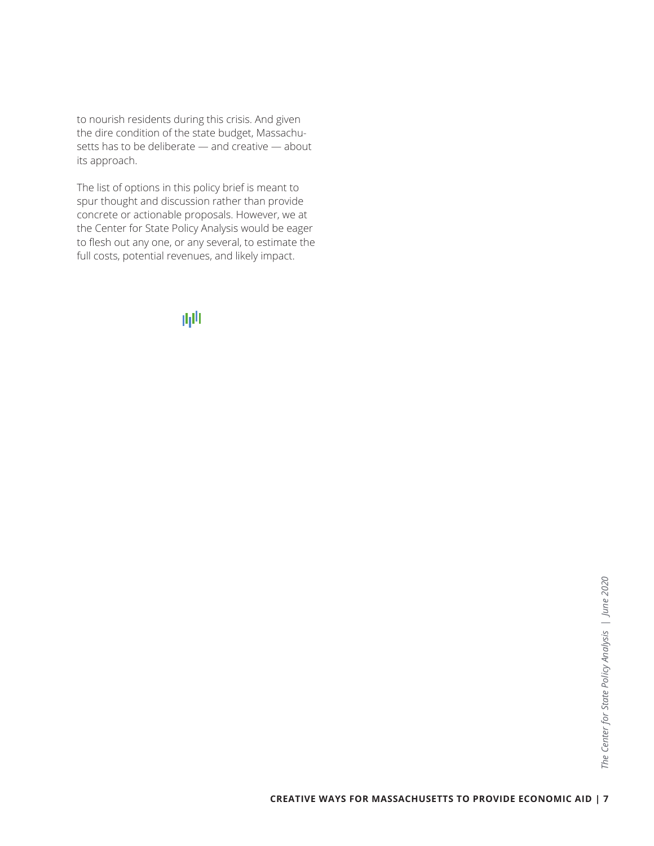to nourish residents during this crisis. And given the dire condition of the state budget, Massachusetts has to be deliberate — and creative — about its approach.

The list of options in this policy brief is meant to spur thought and discussion rather than provide concrete or actionable proposals. However, we at the Center for State Policy Analysis would be eager to flesh out any one, or any several, to estimate the full costs, potential revenues, and likely impact.

# 画